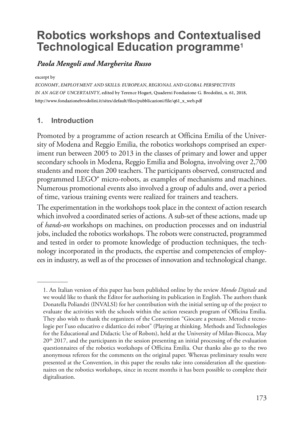# **Robotics workshops and Contextualised Technological Education programme1**

# *Paola Mengoli and Margherita Russo*

excerpt by

ECONOMY, EMPLOYMENT AND SKILLS: EUROPEAN, REGIONAL AND GLOBAL PERSPECTIVES<br>IN AN AGE OF UNCERTAINTY, edited by Terence Hogart, Quaderni Fondazione G. Brodolini, n. 61, 2018,<br>http://www.fondazionebrodolini.it/sites/default

# **1. Introduction**

Promoted by a programme of action research at Officina Emilia of the University of Modena and Reggio Emilia, the robotics workshops comprised an experiment run between 2005 to 2013 in the classes of primary and lower and upper secondary schools in Modena, Reggio Emilia and Bologna, involving over 2,700 students and more than 200 teachers. The participants observed, constructed and programmed LEGO® micro-robots, as examples of mechanisms and machines. Numerous promotional events also involved a group of adults and, over a period of time, various training events were realized for trainers and teachers.

The experimentation in the workshops took place in the context of action research which involved a coordinated series of actions. A sub-set of these actions, made up of *hands-on* workshops on machines, on production processes and on industrial jobs, included the robotics workshops. The robots were constructed, programmed and tested in order to promote knowledge of production techniques, the technology incorporated in the products, the expertise and competencies of employees in industry, as well as of the processes of innovation and technological change.

<sup>1.</sup> An Italian version of this paper has been published online by the review *Mondo Digitale* and we would like to thank the Editor for authorising its publication in English. The authors thank Donatella Poliandri (INVALSI) for her contribution with the initial setting up of the project to evaluate the activities with the schools within the action research program of Officina Emilia. They also wish to thank the organizers of the Convention "Giocare a pensare. Metodi e tecnologie per l'uso educativo e didattico dei robot" (Playing at thinking. Methods and Technologies for the Educational and Didactic Use of Robots), held at the University of Milan-Bicocca, May  $20<sup>th</sup>$  2017, and the participants in the session presenting an initial processing of the evaluation questionnaires of the robotics workshops of Officina Emilia. Our thanks also go to the two anonymous referees for the comments on the original paper. Whereas preliminary results were presented at the Convention, in this paper the results take into consideration all the questionnaires on the robotics workshops, since in recent months it has been possible to complete their digitalisation.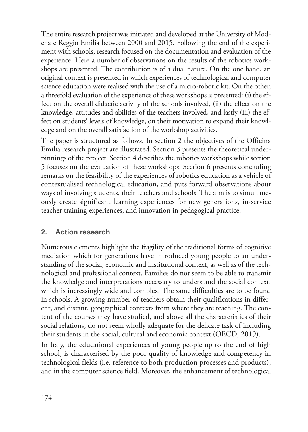The entire research project was initiated and developed at the University of Modena e Reggio Emilia between 2000 and 2015. Following the end of the experiment with schools, research focused on the documentation and evaluation of the experience. Here a number of observations on the results of the robotics workshops are presented. The contribution is of a dual nature. On the one hand, an original context is presented in which experiences of technological and computer science education were realised with the use of a micro-robotic kit. On the other, a threefold evaluation of the experience of these workshops is presented: (i) the effect on the overall didactic activity of the schools involved, (ii) the effect on the knowledge, attitudes and abilities of the teachers involved, and lastly (iii) the effect on students' levels of knowledge, on their motivation to expand their knowledge and on the overall satisfaction of the workshop activities.

The paper is structured as follows. In section 2 the objectives of the Officina Emilia research project are illustrated. Section 3 presents the theoretical underpinnings of the project. Section 4 describes the robotics workshops while section 5 focuses on the evaluation of these workshops. Section 6 presents concluding remarks on the feasibility of the experiences of robotics education as a vehicle of contextualised technological education, and puts forward observations about ways of involving students, their teachers and schools. The aim is to simultaneously create significant learning experiences for new generations, in-service teacher training experiences, and innovation in pedagogical practice.

# **2. Action research**

Numerous elements highlight the fragility of the traditional forms of cognitive mediation which for generations have introduced young people to an understanding of the social, economic and institutional context, as well as of the technological and professional context. Families do not seem to be able to transmit the knowledge and interpretations necessary to understand the social context, which is increasingly wide and complex. The same difficulties are to be found in schools. A growing number of teachers obtain their qualifications in different, and distant, geographical contexts from where they are teaching. The content of the courses they have studied, and above all the characteristics of their social relations, do not seem wholly adequate for the delicate task of including their students in the social, cultural and economic context (OECD, 2019).

In Italy, the educational experiences of young people up to the end of high school, is characterised by the poor quality of knowledge and competency in technological fields (i.e. reference to both production processes and products), and in the computer science field. Moreover, the enhancement of technological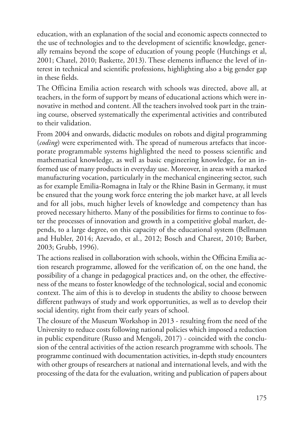education, with an explanation of the social and economic aspects connected to the use of technologies and to the development of scientific knowledge, generally remains beyond the scope of education of young people (Hutchings et al, 2001; Chatel, 2010; Baskette, 2013). These elements influence the level of interest in technical and scientific professions, highlighting also a big gender gap in these fields.

The Officina Emilia action research with schools was directed, above all, at teachers, in the form of support by means of educational actions which were innovative in method and content. All the teachers involved took part in the training course, observed systematically the experimental activities and contributed to their validation.

From 2004 and onwards, didactic modules on robots and digital programming (*coding*) were experimented with. The spread of numerous artefacts that incorporate programmable systems highlighted the need to possess scientific and mathematical knowledge, as well as basic engineering knowledge, for an informed use of many products in everyday use. Moreover, in areas with a marked manufacturing vocation, particularly in the mechanical engineering sector, such as for example Emilia-Romagna in Italy or the Rhine Basin in Germany, it must be ensured that the young work force entering the job market have, at all levels and for all jobs, much higher levels of knowledge and competency than has proved necessary hitherto. Many of the possibilities for firms to continue to foster the processes of innovation and growth in a competitive global market, depends, to a large degree, on this capacity of the educational system (Bellmann and Hubler, 2014; Azevado, et al., 2012; Bosch and Charest, 2010; Barber, 2003; Grubb, 1996).

The actions realised in collaboration with schools, within the Officina Emilia action research programme, allowed for the verification of, on the one hand, the possibility of a change in pedagogical practices and, on the other, the effectiveness of the means to foster knowledge of the technological, social and economic context. The aim of this is to develop in students the ability to choose between different pathways of study and work opportunities, as well as to develop their social identity, right from their early years of school.

The closure of the Museum Workshop in 2013 - resulting from the need of the University to reduce costs following national policies which imposed a reduction in public expenditure (Russo and Mengoli, 2017) - coincided with the conclusion of the central activities of the action research programme with schools. The programme continued with documentation activities, in-depth study encounters with other groups of researchers at national and international levels, and with the processing of the data for the evaluation, writing and publication of papers about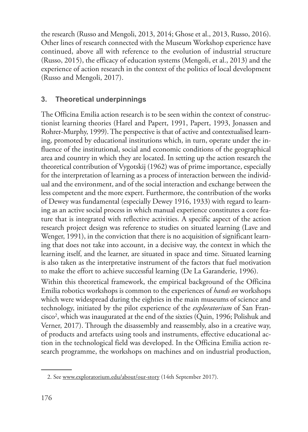the research (Russo and Mengoli, 2013, 2014; Ghose et al., 2013, Russo, 2016). Other lines of research connected with the Museum Workshop experience have continued, above all with reference to the evolution of industrial structure (Russo, 2015), the efficacy of education systems (Mengoli, et al., 2013) and the experience of action research in the context of the politics of local development (Russo and Mengoli, 2017).

## **3. Theoretical underpinnings**

The Officina Emilia action research is to be seen within the context of constructionist learning theories (Harel and Papert, 1991, Papert, 1993, Jonassen and Rohrer-Murphy, 1999). The perspective is that of active and contextualised learning, promoted by educational institutions which, in turn, operate under the influence of the institutional, social and economic conditions of the geographical area and country in which they are located. In setting up the action research the theoretical contribution of Vygotskij (1962) was of prime importance, especially for the interpretation of learning as a process of interaction between the individual and the environment, and of the social interaction and exchange between the less competent and the more expert. Furthermore, the contribution of the works of Dewey was fundamental (especially Dewey 1916, 1933) with regard to learning as an active social process in which manual experience constitutes a core feature that is integrated with reflective activities. A specific aspect of the action research project design was reference to studies on situated learning (Lave and Wenger, 1991), in the conviction that there is no acquisition of significant learning that does not take into account, in a decisive way, the context in which the learning itself, and the learner, are situated in space and time. Situated learning is also taken as the interpretative instrument of the factors that fuel motivation to make the effort to achieve successful learning (De La Garanderie, 1996). Within this theoretical framework, the empirical background of the Officina Emilia robotics workshops is common to the experiences of *hands on* workshops which were widespread during the eighties in the main museums of science and

technology, initiated by the pilot experience of the *exploratorium* of San Francisco<sup>2</sup>, which was inaugurated at the end of the sixties (Quin, 1996; Polishuk and Verner, 2017). Through the disassembly and reassembly, also in a creative way, of products and artefacts using tools and instruments, effective educational action in the technological field was developed. In the Officina Emilia action research programme, the workshops on machines and on industrial production,

<sup>2.</sup> See www.exploratorium.edu/about/our-story (14th September 2017).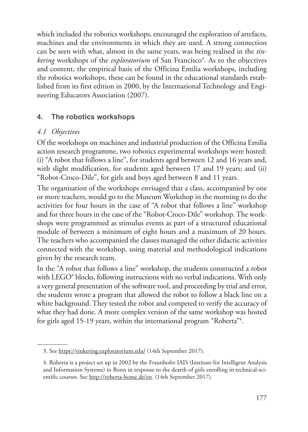which included the robotics workshops, encouraged the exploration of artefacts, machines and the environments in which they are used. A strong connection can be seen with what, almost in the same years, was being realised in the *tin*kering workshops of the exploratorium of San Francisco<sup>3</sup>. As to the objectives and content, the empirical basis of the Officina Emilia workshops, including the robotics workshops, these can be found in the educational standards established from its first edition in 2000, by the International Technology and Engineering Educators Association (2007).

# **4. The robotics workshops**

### *4.1 Objectives*

Of the workshops on machines and industrial production of the Officina Emilia action research programme, two robotics experimental workshops were hosted: (i) "A robot that follows a line", for students aged between 12 and 16 years and, with slight modification, for students aged between 17 and 19 years; and (ii) "Robot-Croco-Dile", for girls and boys aged between 8 and 11 years.

The organisation of the workshops envisaged that a class, accompanied by one or more teachers, would go to the Museum Workshop in the morning to do the activities for four hours in the case of "A robot that follows a line" workshop and for three hours in the case of the "Robot-Croco-Dile" workshop. The workshops were programmed as stimulus events as part of a structured educational module of between a minimum of eight hours and a maximum of 20 hours. The teachers who accompanied the classes managed the other didactic activities connected with the workshop, using material and methodological indications given by the research team.

In the "A robot that follows a line" workshop, the students constructed a robot with LEGO® blocks, following instructions with no verbal indications. With only a very general presentation of the software tool, and proceeding by trial and error, the students wrote a program that allowed the robot to follow a black line on a white background. They tested the robot and competed to verify the accuracy of what they had done. A more complex version of the same workshop was hosted for girls aged 15-19 years, within the international program "Roberta"<sup>4</sup>.

<sup>3.</sup> See https://tinkering.exploratorium.edu/ (14th September 2017).

<sup>4.</sup> Roberta is a project set up in 2002 by the Fraunhofer IAIS (Institute for Intelligent Analysis and Information Systems) in Bonn in response to the dearth of girls enrolling in technical-scientific courses. See http://roberta-home.de/en. (14th September 2017).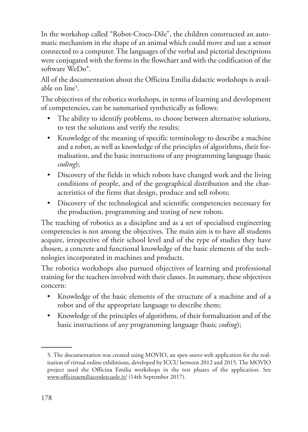In the workshop called "Robot-Croco-Dile", the children constructed an automatic mechanism in the shape of an animal which could move and use a sensor connected to a computer. The languages of the verbal and pictorial descriptions were conjugated with the forms in the flowchart and with the codification of the software WeDo®.

All of the documentation about the Officina Emilia didactic workshops is available on line<sup>5</sup>.

The objectives of the robotics workshops, in terms of learning and development of competencies, can be summarised synthetically as follows:

- The ability to identify problems, to choose between alternative solutions, to test the solutions and verify the results;
- Knowledge of the meaning of specific terminology to describe a machine and a robot, as well as knowledge of the principles of algorithms, their formalisation, and the basic instructions of any programming language (basic *coding*);
- Discovery of the fields in which robots have changed work and the living conditions of people, and of the geographical distribution and the characteristics of the firms that design, produce and sell robots;
- Discovery of the technological and scientific competencies necessary for the production, programming and testing of new robots.

The teaching of robotics as a discipline and as a set of specialised engineering competencies is not among the objectives. The main aim is to have all students acquire, irrespective of their school level and of the type of studies they have chosen, a concrete and functional knowledge of the basic elements of the technologies incorporated in machines and products.

The robotics workshops also pursued objectives of learning and professional training for the teachers involved with their classes. In summary, these objectives concern:

- Knowledge of the basic elements of the structure of a machine and of a robot and of the appropriate language to describe them;
- Knowledge of the principles of algorithms, of their formalization and of the basic instructions of any programming language (basic *coding*);

<sup>5.</sup> The documentation was created using MOVIO, an *open source* web application for the realization of virtual online exhibitions, developed by ICCU between 2012 and 2015. The MOVIO project used the Officina Emilia workshops in the test phases of the application. See www.officinaemiliaconlescuole.it/ (14th September 2017).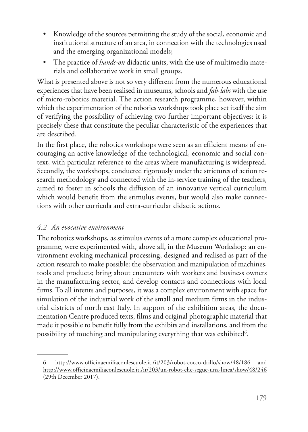- Knowledge of the sources permitting the study of the social, economic and institutional structure of an area, in connection with the technologies used and the emerging organizational models;
- The practice of *hands-on* didactic units, with the use of multimedia materials and collaborative work in small groups.

What is presented above is not so very different from the numerous educational experiences that have been realised in museums, schools and *fab-labs* with the use of micro-robotics material. The action research programme, however, within which the experimentation of the robotics workshops took place set itself the aim of verifying the possibility of achieving two further important objectives: it is precisely these that constitute the peculiar characteristic of the experiences that are described.

In the first place, the robotics workshops were seen as an efficient means of encouraging an active knowledge of the technological, economic and social context, with particular reference to the areas where manufacturing is widespread. Secondly, the workshops, conducted rigorously under the strictures of action research methodology and connected with the in-service training of the teachers, aimed to foster in schools the diffusion of an innovative vertical curriculum which would benefit from the stimulus events, but would also make connections with other curricula and extra-curricular didactic actions.

# *4.2 An evocative environment*

The robotics workshops, as stimulus events of a more complex educational programme, were experimented with, above all, in the Museum Workshop: an environment evoking mechanical processing, designed and realised as part of the action research to make possible: the observation and manipulation of machines, tools and products; bring about encounters with workers and business owners in the manufacturing sector, and develop contacts and connections with local firms. To all intents and purposes, it was a complex environment with space for simulation of the industrial work of the small and medium firms in the industrial districts of north east Italy. In support of the exhibition areas, the documentation Centre produced texts, films and original photographic material that made it possible to benefit fully from the exhibits and installations, and from the possibility of touching and manipulating everything that was exhibited $^6$ .

<sup>6.</sup> http://www.officinaemiliaconlescuole.it./it/203/robot-cocco-drillo/show/48/186 and http://www.officinaemiliaconlescuole.it./it/203/un-robot-che-segue-una-linea/show/48/246 (29th December 2017).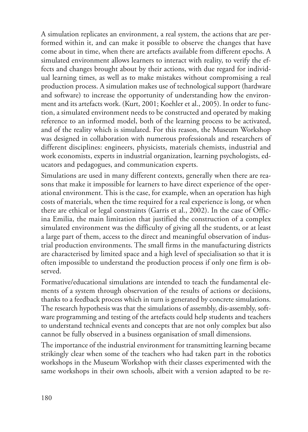A simulation replicates an environment, a real system, the actions that are performed within it, and can make it possible to observe the changes that have come about in time, when there are artefacts available from different epochs. A simulated environment allows learners to interact with reality, to verify the effects and changes brought about by their actions, with due regard for individual learning times, as well as to make mistakes without compromising a real production process. A simulation makes use of technological support (hardware and software) to increase the opportunity of understanding how the environment and its artefacts work. (Kurt, 2001; Koehler et al., 2005). In order to function, a simulated environment needs to be constructed and operated by making reference to an informed model, both of the learning process to be activated, and of the reality which is simulated. For this reason, the Museum Workshop was designed in collaboration with numerous professionals and researchers of different disciplines: engineers, physicists, materials chemists, industrial and work economists, experts in industrial organization, learning psychologists, educators and pedagogues, and communication experts.

Simulations are used in many different contexts, generally when there are reasons that make it impossible for learners to have direct experience of the operational environment. This is the case, for example, when an operation has high costs of materials, when the time required for a real experience is long, or when there are ethical or legal constraints (Garris et al., 2002). In the case of Officina Emilia, the main limitation that justified the construction of a complex simulated environment was the difficulty of giving all the students, or at least a large part of them, access to the direct and meaningful observation of industrial production environments. The small firms in the manufacturing districts are characterised by limited space and a high level of specialisation so that it is often impossible to understand the production process if only one firm is observed.

Formative/educational simulations are intended to teach the fundamental elements of a system through observation of the results of actions or decisions, thanks to a feedback process which in turn is generated by concrete simulations. The research hypothesis was that the simulations of assembly, dis-assembly, software programming and testing of the artefacts could help students and teachers to understand technical events and concepts that are not only complex but also cannot be fully observed in a business organisation of small dimensions.

The importance of the industrial environment for transmitting learning became strikingly clear when some of the teachers who had taken part in the robotics workshops in the Museum Workshop with their classes experimented with the same workshops in their own schools, albeit with a version adapted to be re-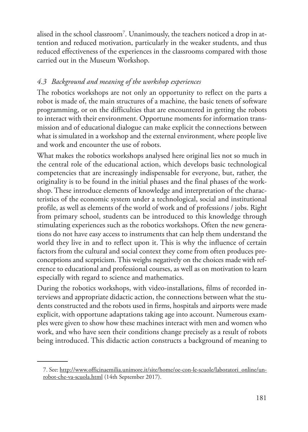alised in the school classroom<sup>7</sup>. Unanimously, the teachers noticed a drop in attention and reduced motivation, particularly in the weaker students, and thus reduced effectiveness of the experiences in the classrooms compared with those carried out in the Museum Workshop.

# *4.3 Background and meaning of the workshop experiences*

The robotics workshops are not only an opportunity to reflect on the parts a robot is made of, the main structures of a machine, the basic tenets of software programming, or on the difficulties that are encountered in getting the robots to interact with their environment. Opportune moments for information transmission and of educational dialogue can make explicit the connections between what is simulated in a workshop and the external environment, where people live and work and encounter the use of robots.

What makes the robotics workshops analysed here original lies not so much in the central role of the educational action, which develops basic technological competencies that are increasingly indispensable for everyone, but, rather, the originality is to be found in the initial phases and the final phases of the workshop. These introduce elements of knowledge and interpretation of the characteristics of the economic system under a technological, social and institutional profile, as well as elements of the world of work and of professions / jobs. Right from primary school, students can be introduced to this knowledge through stimulating experiences such as the robotics workshops. Often the new generations do not have easy access to instruments that can help them understand the world they live in and to reflect upon it. This is why the influence of certain factors from the cultural and social context they come from often produces preconceptions and scepticism. This weighs negatively on the choices made with reference to educational and professional courses, as well as on motivation to learn especially with regard to science and mathematics.

During the robotics workshops, with video-installations, films of recorded interviews and appropriate didactic action, the connections between what the students constructed and the robots used in firms, hospitals and airports were made explicit, with opportune adaptations taking age into account. Numerous examples were given to show how these machines interact with men and women who work, and who have seen their conditions change precisely as a result of robots being introduced. This didactic action constructs a background of meaning to

<sup>7.</sup> See: http://www.officinaemilia.unimore.it/site/home/oe-con-le-scuole/laboratori\_online/unrobot-che-va-scuola.html (14th September 2017).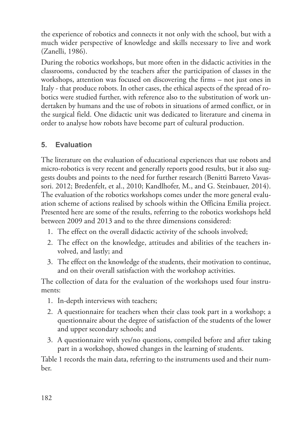the experience of robotics and connects it not only with the school, but with a much wider perspective of knowledge and skills necessary to live and work (Zanelli, 1986).

During the robotics workshops, but more often in the didactic activities in the classrooms, conducted by the teachers after the participation of classes in the workshops, attention was focused on discovering the firms – not just ones in Italy - that produce robots. In other cases, the ethical aspects of the spread of robotics were studied further, with reference also to the substitution of work undertaken by humans and the use of robots in situations of armed conflict, or in the surgical field. One didactic unit was dedicated to literature and cinema in order to analyse how robots have become part of cultural production.

# **5. Evaluation**

The literature on the evaluation of educational experiences that use robots and micro-robotics is very recent and generally reports good results, but it also suggests doubts and points to the need for further research (Benitti Barreto Vavassori. 2012; Bredenfelt, et al., 2010; Kandlhofer, M., and G. Steinbauer, 2014). The evaluation of the robotics workshops comes under the more general evaluation scheme of actions realised by schools within the Officina Emilia project. Presented here are some of the results, referring to the robotics workshops held between 2009 and 2013 and to the three dimensions considered:

- 1. The effect on the overall didactic activity of the schools involved;
- 2. The effect on the knowledge, attitudes and abilities of the teachers involved, and lastly; and
- 3. The effect on the knowledge of the students, their motivation to continue, and on their overall satisfaction with the workshop activities.

The collection of data for the evaluation of the workshops used four instruments:

- 1. In-depth interviews with teachers;
- 2. A questionnaire for teachers when their class took part in a workshop; a questionnaire about the degree of satisfaction of the students of the lower and upper secondary schools; and
- 3. A questionnaire with yes/no questions, compiled before and after taking part in a workshop, showed changes in the learning of students.

Table 1 records the main data, referring to the instruments used and their number.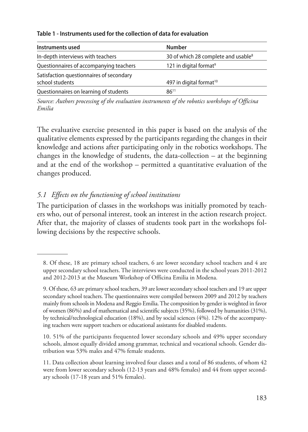|  | Table 1 - Instruments used for the collection of data for evaluation |
|--|----------------------------------------------------------------------|
|--|----------------------------------------------------------------------|

| Instruments used                         | <b>Number</b>                                   |
|------------------------------------------|-------------------------------------------------|
| In-depth interviews with teachers        | 30 of which 28 complete and usable <sup>8</sup> |
| Questionnaires of accompanying teachers  | 121 in digital format <sup>9</sup>              |
| Satisfaction questionnaires of secondary |                                                 |
| school students                          | 497 in digital format <sup>10</sup>             |
| Questionnaires on learning of students   | $86^{11}$                                       |

*Source: Authors processing of the evaluation instruments of the robotics workshops of Officina Emilia*

The evaluative exercise presented in this paper is based on the analysis of the qualitative elements expressed by the participants regarding the changes in their knowledge and actions after participating only in the robotics workshops. The changes in the knowledge of students, the data-collection – at the beginning and at the end of the workshop – permitted a quantitative evaluation of the changes produced.

# *5.1 Effects on the functioning of school institutions*

The participation of classes in the workshops was initially promoted by teachers who, out of personal interest, took an interest in the action research project. After that, the majority of classes of students took part in the workshops following decisions by the respective schools.

<sup>8.</sup> Of these, 18 are primary school teachers, 6 are lower secondary school teachers and 4 are upper secondary school teachers. The interviews were conducted in the school years 2011-2012 and 2012-2013 at the Museum Workshop of Officina Emilia in Modena.

<sup>9.</sup> Of these, 63 are primary school teachers, 39 are lower secondary school teachers and 19 are upper secondary school teachers. The questionnaires were compiled between 2009 and 2012 by teachers mainly from schools in Modena and Reggio Emilia. The composition by gender is weighted in favor of women (86%) and of mathematical and scientific subjects (35%), followed by humanities (31%), by technical/technological education (18%), and by social sciences (4%). 12% of the accompanying teachers were support teachers or educational assistants for disabled students.

<sup>10. 51%</sup> of the participants frequented lower secondary schools and 49% upper secondary schools, almost equally divided among grammar, technical and vocational schools. Gender distribution was 53% males and 47% female students.

<sup>11.</sup> Data collection about learning involved four classes and a total of 86 students, of whom 42 were from lower secondary schools (12-13 years and 48% females) and 44 from upper secondary schools (17-18 years and 51% females).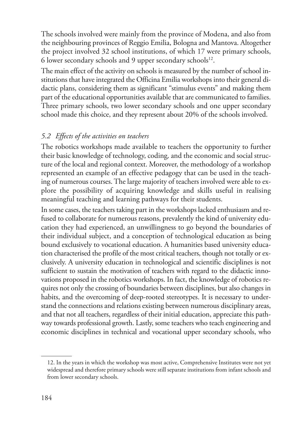The schools involved were mainly from the province of Modena, and also from the neighbouring provinces of Reggio Emilia, Bologna and Mantova. Altogether the project involved 32 school institutions, of which 17 were primary schools, 6 lower secondary schools and 9 upper secondary schools<sup>12</sup>.

The main effect of the activity on schools is measured by the number of school institutions that have integrated the Officina Emilia workshops into their general didactic plans, considering them as significant "stimulus events" and making them part of the educational opportunities available that are communicated to families. Three primary schools, two lower secondary schools and one upper secondary school made this choice, and they represent about 20% of the schools involved.

# *5.2 Effects of the activities on teachers*

The robotics workshops made available to teachers the opportunity to further their basic knowledge of technology, coding*,* and the economic and social structure of the local and regional context. Moreover, the methodology of a workshop represented an example of an effective pedagogy that can be used in the teaching of numerous courses. The large majority of teachers involved were able to explore the possibility of acquiring knowledge and skills useful in realising meaningful teaching and learning pathways for their students.

In some cases, the teachers taking part in the workshops lacked enthusiasm and refused to collaborate for numerous reasons, prevalently the kind of university education they had experienced, an unwillingness to go beyond the boundaries of their individual subject, and a conception of technological education as being bound exclusively to vocational education. A humanities based university education characterised the profile of the most critical teachers, though not totally or exclusively. A university education in technological and scientific disciplines is not sufficient to sustain the motivation of teachers with regard to the didactic innovations proposed in the robotics workshops. In fact, the knowledge of robotics requires not only the crossing of boundaries between disciplines, but also changes in habits, and the overcoming of deep-rooted stereotypes. It is necessary to understand the connections and relations existing between numerous disciplinary areas, and that not all teachers, regardless of their initial education, appreciate this pathway towards professional growth. Lastly, some teachers who teach engineering and economic disciplines in technical and vocational upper secondary schools, who

<sup>12.</sup> In the years in which the workshop was most active, Comprehensive Institutes were not yet widespread and therefore primary schools were still separate institutions from infant schools and from lower secondary schools.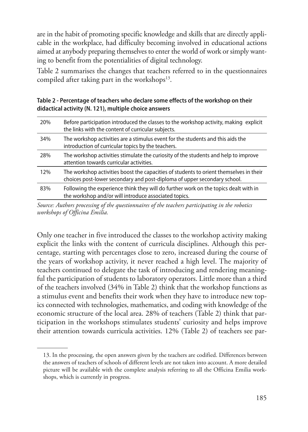are in the habit of promoting specific knowledge and skills that are directly applicable in the workplace, had difficulty becoming involved in educational actions aimed at anybody preparing themselves to enter the world of work or simply wanting to benefit from the potentialities of digital technology.

Table 2 summarises the changes that teachers referred to in the questionnaires compiled after taking part in the workshops<sup>13</sup>.

**Table 2 - Percentage of teachers who declare some effects of the workshop on their didactical activity (N. 121), multiple choice answers**

| 20% | Before participation introduced the classes to the workshop activity, making explicit<br>the links with the content of curricular subjects.                        |
|-----|--------------------------------------------------------------------------------------------------------------------------------------------------------------------|
| 34% | The workshop activities are a stimulus event for the students and this aids the<br>introduction of curricular topics by the teachers.                              |
| 28% | The workshop activities stimulate the curiosity of the students and help to improve<br>attention towards curricular activities.                                    |
| 12% | The workshop activities boost the capacities of students to orient themselves in their<br>choices post-lower secondary and post-diploma of upper secondary school. |
| 83% | Following the experience think they will do further work on the topics dealt with in<br>the workshop and/or will introduce associated topics.                      |

*Source: Authors processing of the questionnaires of the teachers participating in the robotics workshops of Officina Emilia.*

Only one teacher in five introduced the classes to the workshop activity making explicit the links with the content of curricula disciplines. Although this percentage, starting with percentages close to zero, increased during the course of the years of workshop activity, it never reached a high level. The majority of teachers continued to delegate the task of introducing and rendering meaningful the participation of students to laboratory operators. Little more than a third of the teachers involved (34% in Table 2) think that the workshop functions as a stimulus event and benefits their work when they have to introduce new topics connected with technologies, mathematics, and coding with knowledge of the economic structure of the local area. 28% of teachers (Table 2) think that participation in the workshops stimulates students' curiosity and helps improve their attention towards curricula activities. 12% (Table 2) of teachers see par-

<sup>13.</sup> In the processing, the open answers given by the teachers are codified. Differences between the answers of teachers of schools of different levels are not taken into account. A more detailed picture will be available with the complete analysis referring to all the Officina Emilia workshops, which is currently in progress.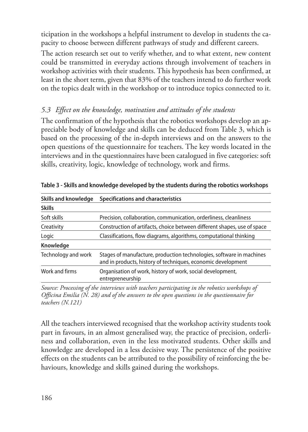ticipation in the workshops a helpful instrument to develop in students the capacity to choose between different pathways of study and different careers.

The action research set out to verify whether, and to what extent, new content could be transmitted in everyday actions through involvement of teachers in workshop activities with their students. This hypothesis has been confirmed, at least in the short term, given that 83% of the teachers intend to do further work on the topics dealt with in the workshop or to introduce topics connected to it.

# *5.3 Effect on the knowledge, motivation and attitudes of the students*

The confirmation of the hypothesis that the robotics workshops develop an appreciable body of knowledge and skills can be deduced from Table 3, which is based on the processing of the in-depth interviews and on the answers to the open questions of the questionnaire for teachers. The key words located in the interviews and in the questionnaires have been catalogued in five categories: soft skills, creativity, logic, knowledge of technology, work and firms.

| Skills and knowledge | Specifications and characteristics                                                                                                   |
|----------------------|--------------------------------------------------------------------------------------------------------------------------------------|
| <b>Skills</b>        |                                                                                                                                      |
| Soft skills          | Precision, collaboration, communication, orderliness, cleanliness                                                                    |
| Creativity           | Construction of artifacts, choice between different shapes, use of space                                                             |
| Logic                | Classifications, flow diagrams, algorithms, computational thinking                                                                   |
| Knowledge            |                                                                                                                                      |
| Technology and work  | Stages of manufacture, production technologies, software in machines<br>and in products, history of techniques, economic development |
| Work and firms       | Organisation of work, history of work, social development,<br>entrepreneurship                                                       |
|                      | Source: Processing of the interviews with teachers participating in the robotics workshops of                                        |

**Table 3 - Skills and knowledge developed by the students during the robotics workshops**

*Source: Processing of the interviews with teachers participating in the robotics workshops of Officina Emilia (N. 28) and of the answers to the open questions in the questionnaire for teachers (N.121)*

All the teachers interviewed recognised that the workshop activity students took part in favours, in an almost generalised way, the practice of precision, orderliness and collaboration, even in the less motivated students. Other skills and knowledge are developed in a less decisive way. The persistence of the positive effects on the students can be attributed to the possibility of reinforcing the behaviours, knowledge and skills gained during the workshops.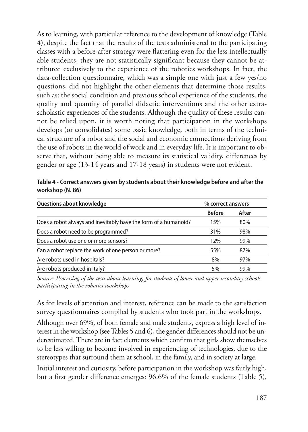As to learning, with particular reference to the development of knowledge (Table 4), despite the fact that the results of the tests administered to the participating classes with a before-after strategy were flattering even for the less intellectually able students, they are not statistically significant because they cannot be attributed exclusively to the experience of the robotics workshops. In fact, the data-collection questionnaire, which was a simple one with just a few yes/no questions, did not highlight the other elements that determine those results, such as: the social condition and previous school experience of the students, the quality and quantity of parallel didactic interventions and the other extrascholastic experiences of the students. Although the quality of these results cannot be relied upon, it is worth noting that participation in the workshops develops (or consolidates) some basic knowledge, both in terms of the technical structure of a robot and the social and economic connections deriving from the use of robots in the world of work and in everyday life. It is important to observe that, without being able to measure its statistical validity, differences by gender or age (13-14 years and 17-18 years) in students were not evident.

**Table 4 - Correct answers given by students about their knowledge before and after the workshop (N. 86)**

| Questions about knowledge                                       | % correct answers |       |
|-----------------------------------------------------------------|-------------------|-------|
|                                                                 | <b>Before</b>     | After |
| Does a robot always and inevitably have the form of a humanoid? | 15%               | 80%   |
| Does a robot need to be programmed?                             | 31%               | 98%   |
| Does a robot use one or more sensors?                           | 12%               | 99%   |
| Can a robot replace the work of one person or more?             | 55%               | 87%   |
| Are robots used in hospitals?                                   | 8%                | 97%   |
| Are robots produced in Italy?                                   | 5%                | 99%   |

*Source: Processing of the tests about learning, for students of lower and upper secondary schools participating in the robotics workshops*

As for levels of attention and interest, reference can be made to the satisfaction survey questionnaires compiled by students who took part in the workshops.

Although over 69%, of both female and male students, express a high level of interest in the workshop (see Tables 5 and 6), the gender differences should not be underestimated. There are in fact elements which confirm that girls show themselves to be less willing to become involved in experiencing of technologies, due to the stereotypes that surround them at school, in the family, and in society at large.

Initial interest and curiosity, before participation in the workshop was fairly high, but a first gender difference emerges: 96.6% of the female students (Table 5),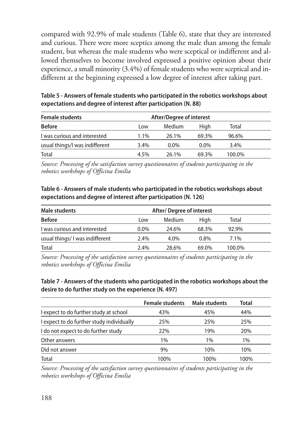compared with 92.9% of male students (Table 6), state that they are interested and curious. There were more sceptics among the male than among the female student, but whereas the male students who were sceptical or indifferent and allowed themselves to become involved expressed a positive opinion about their experience, a small minority (3.4%) of female students who were sceptical and indifferent at the beginning expressed a low degree of interest after taking part.

**Table 5 - Answers of female students who participated in the robotics workshops about expectations and degree of interest after participation (N. 88)**

| <b>Female students</b>         | After/Degree of interest |         |         |        |  |
|--------------------------------|--------------------------|---------|---------|--------|--|
| <b>Before</b>                  | Low                      | Medium  | High    | Total  |  |
| I was curious and interested   | 1.1%                     | 26.1%   | 69.3%   | 96.6%  |  |
| usual things/I was indifferent | 3.4%                     | $0.0\%$ | $0.0\%$ | 3.4%   |  |
| Total                          | 4.5%                     | 26.1%   | 69.3%   | 100.0% |  |

*Source: Processing of the satisfaction survey questionnaires of students participating in the robotics workshops of Officina Emilia*

### **Table 6 - Answers of male students who participated in the robotics workshops about expectations and degree of interest after participation (N. 126)**

| Male students                  | After/Degree of interest       |       |         |         |  |
|--------------------------------|--------------------------------|-------|---------|---------|--|
| <b>Before</b>                  | Medium<br>High<br>Total<br>Low |       |         |         |  |
| I was curious and interested   | $0.0\%$                        | 24.6% | 68.3%   | 92.9%   |  |
| usual things/I was indifferent | 2.4%                           | 4.0%  | $0.8\%$ | $7.1\%$ |  |
| Total                          | 2.4%                           | 28.6% | 69.0%   | 100.0%  |  |

*Source: Processing of the satisfaction survey questionnaires of students participating in the robotics workshops of Officina Emilia*

### **Table 7 - Answers of the students who participated in the robotics workshops about the desire to do further study on the experience (N. 497)**

|                                           | <b>Female students</b> | Male students | <b>Total</b> |  |
|-------------------------------------------|------------------------|---------------|--------------|--|
| I expect to do further study at school    | 43%                    | 45%           | 44%          |  |
| I expect to do further study individually | 25%                    | 25%           | 25%          |  |
| I do not expect to do further study       | 22%                    | 19%           | 20%          |  |
| Other answers                             | 1%                     | 1%            | 1%           |  |
| Did not answer                            | 9%                     | 10%           | 10%          |  |
| Total                                     | 100%                   | 100%          | 100%         |  |

*Source: Processing of the satisfaction survey questionnaires of students participating in the robotics workshops of Officina Emilia*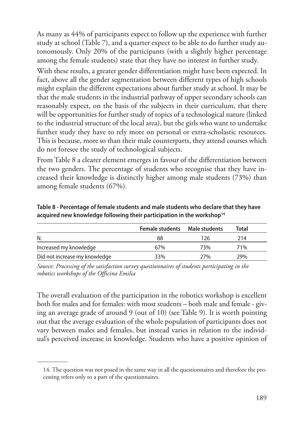As many as 44% of participants expect to follow up the experience with further study at school (Table 7), and a quarter expect to be able to do further study autonomously. Only 20% of the participants (with a slightly higher percentage among the female students) state that they have no interest in further study.

With these results, a greater gender differentiation might have been expected. In fact, above all the gender segmentation between different types of high schools might explain the different expectations about further study at school. It may be that the male students in the industrial pathway of upper secondary schools can reasonably expect, on the basis of the subjects in their curriculum, that there will be opportunities for further study of topics of a technological nature (linked to the industrial structure of the local area), but the girls who want to undertake further study they have to rely more on personal or extra-scholastic resources. This is because, more so than their male counterparts, they attend courses which do not foresee the study of technological subjects.

From Table 8 a clearer element emerges in favour of the differentiation between the two genders. The percentage of students who recognise that they have increased their knowledge is distinctly higher among male students (73%) than among female students (67%).

|                               | <b>Female students</b> | Male students | <b>Total</b> |  |
|-------------------------------|------------------------|---------------|--------------|--|
| N.                            | 88                     | 126           | 214          |  |
| Increased my knowledge        | 67%                    | 73%           | 71%          |  |
| Did not increase my knowledge | 33%                    | 27%           | 29%          |  |

**Table 8 - Percentage of female students and male students who declare that they have acquired new knowledge following their participation in the workshop14**

*Source: Processing of the satisfaction survey questionnaires of students participating in the robotics workshops of the Officina Emilia*

The overall evaluation of the participation in the robotics workshop is excellent both for males and for females: with most students – both male and female - giving an average grade of around 9 (out of 10) (see Table 9). It is worth pointing out that the average evaluation of the whole population of participants does not vary between males and females, but instead varies in relation to the individual's perceived increase in knowledge. Students who have a positive opinion of

<sup>14.</sup> The question was not posed in the same way in all the questionnaires and therefore the processing refers only to a part of the questionnaires.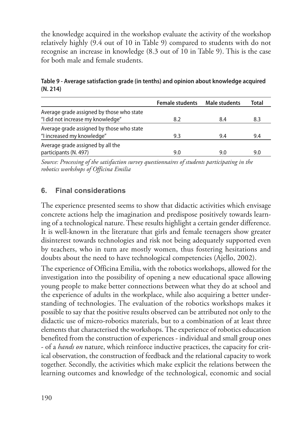the knowledge acquired in the workshop evaluate the activity of the workshop relatively highly (9.4 out of 10 in Table 9) compared to students with do not recognise an increase in knowledge (8.3 out of 10 in Table 9). This is the case for both male and female students.

|                                           | <b>Female students</b> | Male students | Total |
|-------------------------------------------|------------------------|---------------|-------|
| Average grade assigned by those who state |                        |               |       |
| "I did not increase my knowledge"         | 8.2                    | 8.4           | 8.3   |
| Average grade assigned by those who state |                        |               |       |
| "I increased my knowledge"                | 9.3                    | 9.4           | 9.4   |
| Average grade assigned by all the         |                        |               |       |
| participants (N. 497)                     | 9.0                    | 9.0           | 9.0   |

**Table 9 - Average satisfaction grade (in tenths) and opinion about knowledge acquired (N. 214)**

*Source: Processing of the satisfaction survey questionnaires of students participating in the robotics workshops of Officina Emilia*

# **6. Final considerations**

The experience presented seems to show that didactic activities which envisage concrete actions help the imagination and predispose positively towards learning of a technological nature. These results highlight a certain gender difference. It is well-known in the literature that girls and female teenagers show greater disinterest towards technologies and risk not being adequately supported even by teachers, who in turn are mostly women, thus fostering hesitations and doubts about the need to have technological competencies (Ajello, 2002).

The experience of Officina Emilia, with the robotics workshops, allowed for the investigation into the possibility of opening a new educational space allowing young people to make better connections between what they do at school and the experience of adults in the workplace, while also acquiring a better understanding of technologies. The evaluation of the robotics workshops makes it possible to say that the positive results observed can be attributed not only to the didactic use of micro-robotics materials, but to a combination of at least three elements that characterised the workshops. The experience of robotics education benefited from the construction of experiences - individual and small group ones - of a *hands on* nature, which reinforce inductive practices, the capacity for critical observation, the construction of feedback and the relational capacity to work together. Secondly, the activities which make explicit the relations between the learning outcomes and knowledge of the technological, economic and social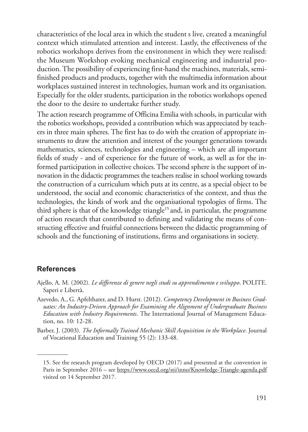characteristics of the local area in which the student s live, created a meaningful context which stimulated attention and interest. Lastly, the effectiveness of the robotics workshops derives from the environment in which they were realised: the Museum Workshop evoking mechanical engineering and industrial production. The possibility of experiencing first-hand the machines, materials, semifinished products and products, together with the multimedia information about workplaces sustained interest in technologies, human work and its organisation. Especially for the older students, participation in the robotics workshops opened the door to the desire to undertake further study.

The action research programme of Officina Emilia with schools, in particular with the robotics workshops, provided a contribution which was appreciated by teachers in three main spheres. The first has to do with the creation of appropriate instruments to draw the attention and interest of the younger generations towards mathematics, sciences, technologies and engineering – which are all important fields of study - and of experience for the future of work, as well as for the informed participation in collective choices. The second sphere is the support of innovation in the didactic programmes the teachers realise in school working towards the construction of a curriculum which puts at its centre, as a special object to be understood, the social and economic characteristics of the context, and thus the technologies, the kinds of work and the organisational typologies of firms. The third sphere is that of the knowledge triangle<sup>15</sup> and, in particular, the programme of action research that contributed to defining and validating the means of constructing effective and fruitful connections between the didactic programming of schools and the functioning of institutions, firms and organisations in society.

### **References**

- Ajello, A. M. (2002). *Le differenze di genere negli studi su apprendimento e sviluppo*. POLITE. Saperi e Libertà.
- Azevedo, A., G. Apfeltharer, and D. Hurst. (2012). *Competency Development in Business Graduates: An Industry-Driven Approach for Examining the Alignment of Undergraduate Business Education with Industry Requirements*. The International Journal of Management Education, no. 10: 12-28.
- Barber, J. (2003). *The Informally Trained Mechanic Skill Acquisition in the Workplace*. Journal of Vocational Education and Training 55 (2): 133-48.

<sup>15.</sup> See the research program developed by OECD (2017) and presented at the convention in Paris in September 2016 – see https://www.oecd.org/sti/inno/Knowledge-Triangle-agenda.pdf visited on 14 September 2017.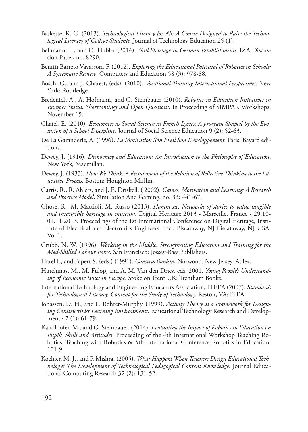- Baskette, K. G. (2013). *Technological Literacy for All: A Course Designed to Raise the Technological Literacy of College Students*. Journal of Technology Education 25 (1).
- Bellmann, L., and O. Hubler (2014). *Skill Shortage in German Establishments*. IZA Discussion Paper, no. 8290.
- Benitti Barreto Vavassori, F. (2012). *Exploring the Educational Potential of Robotics in Schools: A Systematic Review*. Computers and Education 58 (3): 978-88.
- Bosch, G., and J. Charest, (eds). (2010). *Vocational Training International Perspectives*. New York: Routledge.
- Bredenfelt A., A. Hofmann, and G. Steinbauer (2010), *Robotics in Education Initiatives in Europe: Status, Shortcomings and Open Questions*. In Proceeding of SIMPAR Workshops, November 15.
- Chatel, E. (2010). *Economics as Social Science in French Lycees: A program Shaped by the Evolution of a School Discipline*. Journal of Social Science Education 9 (2): 52-63.
- De La Garanderie, A. (1996). *La Motivation Son Eveil Son Développement*. Paris: Bayard editions.
- Dewey, J. (1916). *Democracy and Education: An Introduction to the Philosophy of Education*, New York, Macmillan.
- Dewey, J. (1933). *How We Think: A Restatement of the Relation of Reflective Thinking to the Educative Process*. Boston: Houghton Mifflin.
- Garris, R., R. Ahlers, and J. E. Driskell. ( 2002). *Games, Motivation and Learning: A Research and Practice Model*. Simulation And Gaming, no. 33: 441-67.
- Ghose, R., M. Mattioli; M. Russo (2013). *Homm-sw. Networks-of-stories to value tangible and intangible heritage in museum.* Digital Heritage 2013 - Marseille, France - 29.10- 01.11 2013. Proceedings of the 1st International Conference on Digital Heritage, Institute of Electrical and Electronics Engineers, Inc., Piscataway, NJ Piscataway, NJ USA, Vol 1.
- Grubb, N. W. (1996). *Working in the Middle. Strengthening Education and Training for the Med-Skilled Labour Force*. San Francisco: Jossey-Bass Publishers.
- Harel I., and Papert S. (eds.) (1991). *Constructionism*, Norwood. New Jersey. Ablex.
- Hutchings, M., M. Fulop, and A. M. Van den Dries, eds. 2001. *Young People's Understanding of Economic Issues in Europe*. Stoke on Trent UK: Trentham Books.
- International Technology and Engineering Educators Association, ITEEA (2007), *Standards for Technological Literacy. Content for the Study of Technology.* Reston, VA: ITEA.
- Jonassen, D. H., and L. Rohrer-Murphy. (1999). *Activity Theory as a Framework for Designing Constructivist Learning Environments*. Educational Technology Research and Development 47 (1): 61-79.
- Kandlhofer, M., and G. Steinbauer. (2014). *Evaluating the Impact of Robotics in Education on Pupils' Skills and Attitudes*. Proceeding of the 4th International Workshop Teaching Robotics. Teaching with Robotics & 5th International Conference Robotics in Education, 101-9.
- Koehler, M. J., and P. Mishra. (2005). *What Happens When Teachers Design Educational Technology? The Development of Technological Pedagogical Content Knowledge*. Journal Educational Computing Research 32 (2): 131-52.